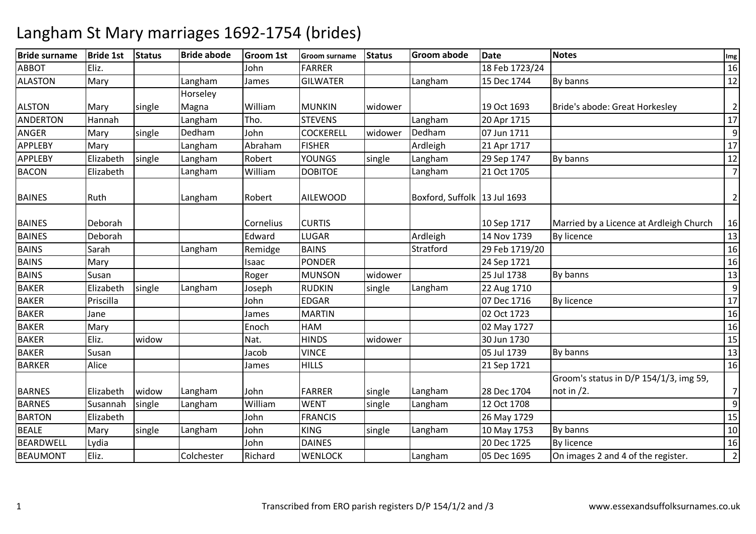| <b>Bride surname</b> | <b>Bride 1st</b> | <b>Status</b> | <b>Bride abode</b> | Groom 1st | Groom surname    | <b>Status</b> | <b>Groom abode</b>             | <b>Date</b>    | <b>Notes</b>                            | Img              |
|----------------------|------------------|---------------|--------------------|-----------|------------------|---------------|--------------------------------|----------------|-----------------------------------------|------------------|
| <b>ABBOT</b>         | Eliz.            |               |                    | John      | <b>FARRER</b>    |               |                                | 18 Feb 1723/24 |                                         | 16               |
| <b>ALASTON</b>       | Mary             |               | Langham            | James     | <b>GILWATER</b>  |               | Langham                        | 15 Dec 1744    | By banns                                | 12               |
|                      |                  |               | Horseley           |           |                  |               |                                |                |                                         |                  |
| <b>ALSTON</b>        | Mary             | single        | Magna              | William   | <b>MUNKIN</b>    | widower       |                                | 19 Oct 1693    | Bride's abode: Great Horkesley          | $\overline{2}$   |
| <b>ANDERTON</b>      | Hannah           |               | Langham            | Tho.      | <b>STEVENS</b>   |               | Langham                        | 20 Apr 1715    |                                         | 17               |
| <b>ANGER</b>         | Mary             | single        | Dedham             | John      | <b>COCKERELL</b> | widower       | Dedham                         | 07 Jun 1711    |                                         | $\boldsymbol{9}$ |
| <b>APPLEBY</b>       | Mary             |               | Langham            | Abraham   | <b>FISHER</b>    |               | Ardleigh                       | 21 Apr 1717    |                                         | 17               |
| <b>APPLEBY</b>       | Elizabeth        | single        | Langham            | Robert    | <b>YOUNGS</b>    | single        | Langham                        | 29 Sep 1747    | By banns                                | 12               |
| <b>BACON</b>         | Elizabeth        |               | Langham            | William   | <b>DOBITOE</b>   |               | Langham                        | 21 Oct 1705    |                                         | $\overline{7}$   |
| <b>BAINES</b>        | Ruth             |               | Langham            | Robert    | <b>AILEWOOD</b>  |               | Boxford, Suffolk   13 Jul 1693 |                |                                         | $\overline{2}$   |
| <b>BAINES</b>        | Deborah          |               |                    | Cornelius | <b>CURTIS</b>    |               |                                | 10 Sep 1717    | Married by a Licence at Ardleigh Church | 16               |
| <b>BAINES</b>        | Deborah          |               |                    | Edward    | LUGAR            |               | Ardleigh                       | 14 Nov 1739    | <b>By licence</b>                       | 13               |
| <b>BAINS</b>         | Sarah            |               | Langham            | Remidge   | <b>BAINS</b>     |               | Stratford                      | 29 Feb 1719/20 |                                         | 16               |
| <b>BAINS</b>         | Mary             |               |                    | Isaac     | <b>PONDER</b>    |               |                                | 24 Sep 1721    |                                         | 16               |
| <b>BAINS</b>         | Susan            |               |                    | Roger     | <b>MUNSON</b>    | widower       |                                | 25 Jul 1738    | By banns                                | 13               |
| <b>BAKER</b>         | Elizabeth        | single        | Langham            | Joseph    | <b>RUDKIN</b>    | single        | Langham                        | 22 Aug 1710    |                                         | $9\,$            |
| <b>BAKER</b>         | Priscilla        |               |                    | John      | <b>EDGAR</b>     |               |                                | 07 Dec 1716    | By licence                              | 17               |
| <b>BAKER</b>         | Jane             |               |                    | James     | <b>MARTIN</b>    |               |                                | 02 Oct 1723    |                                         | 16               |
| <b>BAKER</b>         | Mary             |               |                    | Enoch     | <b>HAM</b>       |               |                                | 02 May 1727    |                                         | 16               |
| <b>BAKER</b>         | Eliz.            | widow         |                    | Nat.      | <b>HINDS</b>     | widower       |                                | 30 Jun 1730    |                                         | 15               |
| <b>BAKER</b>         | Susan            |               |                    | Jacob     | <b>VINCE</b>     |               |                                | 05 Jul 1739    | By banns                                | 13               |
| <b>BARKER</b>        | Alice            |               |                    | James     | <b>HILLS</b>     |               |                                | 21 Sep 1721    |                                         | 16               |
|                      |                  |               |                    |           |                  |               |                                |                | Groom's status in D/P 154/1/3, img 59,  |                  |
| <b>BARNES</b>        | Elizabeth        | widow         | Langham            | John      | <b>FARRER</b>    | single        | Langham                        | 28 Dec 1704    | not in $/2$ .                           | $\overline{7}$   |
| <b>BARNES</b>        | Susannah         | single        | Langham            | William   | <b>WENT</b>      | single        | Langham                        | 12 Oct 1708    |                                         | $9\,$            |
| <b>BARTON</b>        | Elizabeth        |               |                    | John      | <b>FRANCIS</b>   |               |                                | 26 May 1729    |                                         | 15               |
| <b>BEALE</b>         | Mary             | single        | Langham            | John      | <b>KING</b>      | single        | Langham                        | 10 May 1753    | By banns                                | 10               |
| <b>BEARDWELL</b>     | Lydia            |               |                    | John      | <b>DAINES</b>    |               |                                | 20 Dec 1725    | <b>By licence</b>                       | 16               |
| <b>BEAUMONT</b>      | Eliz.            |               | Colchester         | Richard   | <b>WENLOCK</b>   |               | Langham                        | 05 Dec 1695    | On images 2 and 4 of the register.      | $\overline{2}$   |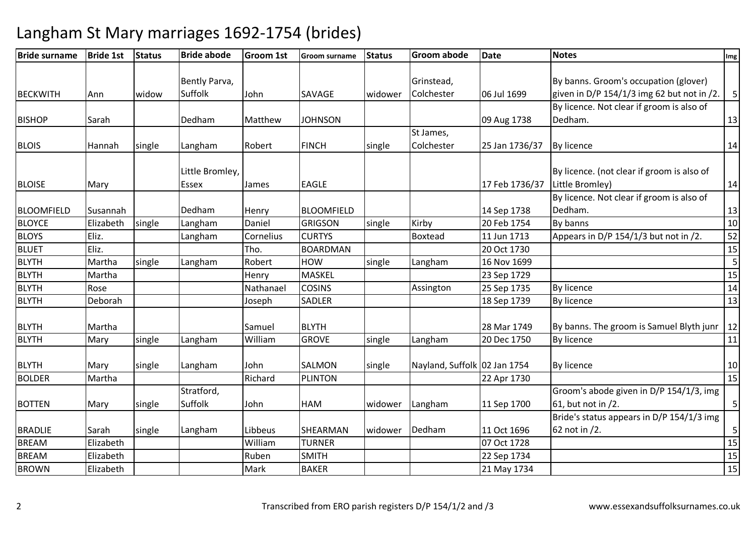| <b>Bride surname</b> | <b>Bride 1st</b> | <b>Status</b> | <b>Bride abode</b> | <b>Groom 1st</b> | <b>Groom surname</b> | <b>Status</b> | <b>Groom abode</b>           | <b>Date</b>    | <b>Notes</b>                               | Img            |
|----------------------|------------------|---------------|--------------------|------------------|----------------------|---------------|------------------------------|----------------|--------------------------------------------|----------------|
|                      |                  |               |                    |                  |                      |               |                              |                |                                            |                |
|                      |                  |               | Bently Parva,      |                  |                      |               | Grinstead,                   |                | By banns. Groom's occupation (glover)      |                |
| <b>BECKWITH</b>      | Ann              | widow         | Suffolk            | John             | SAVAGE               | widower       | Colchester                   | 06 Jul 1699    | given in D/P 154/1/3 img 62 but not in /2. | 5 <sup>1</sup> |
|                      |                  |               |                    |                  |                      |               |                              |                | By licence. Not clear if groom is also of  |                |
| <b>BISHOP</b>        | Sarah            |               | Dedham             | Matthew          | <b>JOHNSON</b>       |               |                              | 09 Aug 1738    | Dedham.                                    | 13             |
|                      |                  |               |                    |                  |                      |               | St James,                    |                |                                            |                |
| <b>BLOIS</b>         | Hannah           | single        | Langham            | Robert           | <b>FINCH</b>         | single        | Colchester                   | 25 Jan 1736/37 | By licence                                 | 14             |
|                      |                  |               | Little Bromley,    |                  |                      |               |                              |                | By licence. (not clear if groom is also of |                |
| <b>BLOISE</b>        | Mary             |               | <b>Essex</b>       | James            | <b>EAGLE</b>         |               |                              | 17 Feb 1736/37 | Little Bromley)                            | 14             |
|                      |                  |               |                    |                  |                      |               |                              |                | By licence. Not clear if groom is also of  |                |
| <b>BLOOMFIELD</b>    | Susannah         |               | Dedham             | Henry            | <b>BLOOMFIELD</b>    |               |                              | 14 Sep 1738    | Dedham.                                    | 13             |
| <b>BLOYCE</b>        | Elizabeth        | single        | Langham            | Daniel           | <b>GRIGSON</b>       | single        | Kirby                        | 20 Feb 1754    | By banns                                   | 10             |
| <b>BLOYS</b>         | Eliz.            |               | Langham            | Cornelius        | <b>CURTYS</b>        |               | <b>Boxtead</b>               | 11 Jun 1713    | Appears in D/P 154/1/3 but not in /2.      | 52             |
| <b>BLUET</b>         | Eliz.            |               |                    | Tho.             | <b>BOARDMAN</b>      |               |                              | 20 Oct 1730    |                                            | 15             |
| <b>BLYTH</b>         | Martha           | single        | Langham            | Robert           | <b>HOW</b>           | single        | Langham                      | 16 Nov 1699    |                                            | 5              |
| <b>BLYTH</b>         | Martha           |               |                    | Henry            | MASKEL               |               |                              | 23 Sep 1729    |                                            | 15             |
| <b>BLYTH</b>         | Rose             |               |                    | Nathanael        | <b>COSINS</b>        |               | Assington                    | 25 Sep 1735    | <b>By licence</b>                          | 14             |
| <b>BLYTH</b>         | Deborah          |               |                    | Joseph           | <b>SADLER</b>        |               |                              | 18 Sep 1739    | By licence                                 | 13             |
| <b>BLYTH</b>         | Martha           |               |                    | Samuel           | <b>BLYTH</b>         |               |                              | 28 Mar 1749    | By banns. The groom is Samuel Blyth junr   | 12             |
| <b>BLYTH</b>         | Mary             | single        | Langham            | William          | <b>GROVE</b>         | single        | Langham                      | 20 Dec 1750    | <b>By licence</b>                          | 11             |
| <b>BLYTH</b>         | Mary             | single        | Langham            | John             | <b>SALMON</b>        | single        | Nayland, Suffolk 02 Jan 1754 |                | By licence                                 | 10             |
| <b>BOLDER</b>        | Martha           |               |                    | Richard          | <b>PLINTON</b>       |               |                              | 22 Apr 1730    |                                            | 15             |
|                      |                  |               | Stratford,         |                  |                      |               |                              |                | Groom's abode given in D/P 154/1/3, img    |                |
| <b>BOTTEN</b>        | Mary             | single        | Suffolk            | John             | <b>HAM</b>           | widower       | Langham                      | 11 Sep 1700    | 61, but not in /2.                         | 5 <sup>1</sup> |
|                      |                  |               |                    |                  |                      |               |                              |                | Bride's status appears in D/P 154/1/3 img  |                |
| <b>BRADLIE</b>       | Sarah            | single        | Langham            | Libbeus          | SHEARMAN             | widower       | Dedham                       | 11 Oct 1696    | 62 not in /2.                              | 5 <sup>1</sup> |
| <b>BREAM</b>         | Elizabeth        |               |                    | William          | <b>TURNER</b>        |               |                              | 07 Oct 1728    |                                            | 15             |
| <b>BREAM</b>         | Elizabeth        |               |                    | Ruben            | <b>SMITH</b>         |               |                              | 22 Sep 1734    |                                            | 15             |
| <b>BROWN</b>         | Elizabeth        |               |                    | Mark             | <b>BAKER</b>         |               |                              | 21 May 1734    |                                            | 15             |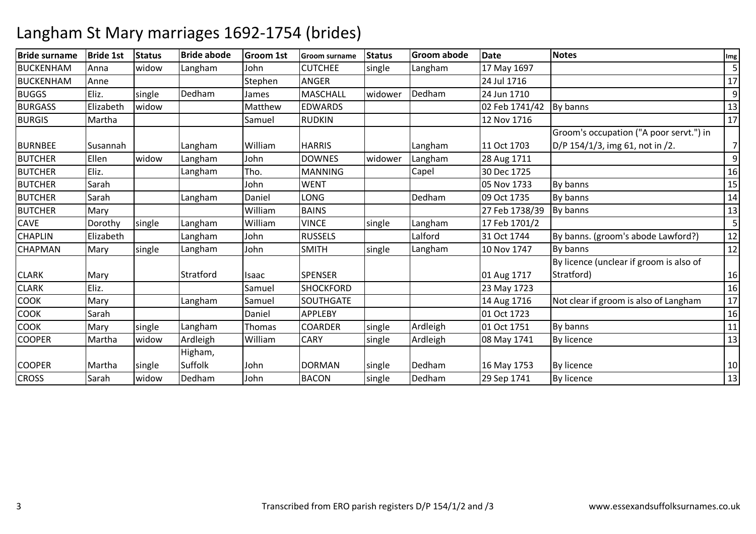| <b>Bride surname</b> | <b>Bride 1st</b> | <b>Status</b> | <b>Bride abode</b> | <b>Groom 1st</b> | <b>Groom surname</b> | <b>Status</b> | <b>Groom abode</b> | <b>Date</b>    | Notes                                                 | Img            |
|----------------------|------------------|---------------|--------------------|------------------|----------------------|---------------|--------------------|----------------|-------------------------------------------------------|----------------|
| <b>BUCKENHAM</b>     | Anna             | widow         | Langham            | John             | <b>CUTCHEE</b>       | single        | Langham            | 17 May 1697    |                                                       | 5              |
| <b>BUCKENHAM</b>     | Anne             |               |                    | Stephen          | <b>ANGER</b>         |               |                    | 24 Jul 1716    |                                                       | 17             |
| <b>BUGGS</b>         | Eliz.            | single        | Dedham             | James            | <b>MASCHALL</b>      | widower       | Dedham             | 24 Jun 1710    |                                                       | $9\,$          |
| <b>BURGASS</b>       | Elizabeth        | widow         |                    | Matthew          | <b>EDWARDS</b>       |               |                    | 02 Feb 1741/42 | By banns                                              | 13             |
| <b>BURGIS</b>        | Martha           |               |                    | Samuel           | <b>RUDKIN</b>        |               |                    | 12 Nov 1716    |                                                       | 17             |
|                      |                  |               |                    |                  |                      |               |                    |                | Groom's occupation ("A poor servt.") in               |                |
| <b>BURNBEE</b>       | Susannah         |               | Langham            | William          | <b>HARRIS</b>        |               | Langham            | 11 Oct 1703    | D/P 154/1/3, img 61, not in /2.                       | $\overline{7}$ |
| <b>BUTCHER</b>       | Ellen            | widow         | Langham            | John             | <b>DOWNES</b>        | widower       | Langham            | 28 Aug 1711    |                                                       | 9              |
| <b>BUTCHER</b>       | Eliz.            |               | Langham            | Tho.             | <b>MANNING</b>       |               | Capel              | 30 Dec 1725    |                                                       | 16             |
| <b>BUTCHER</b>       | Sarah            |               |                    | John             | <b>WENT</b>          |               |                    | 05 Nov 1733    | By banns                                              | 15             |
| <b>BUTCHER</b>       | Sarah            |               | Langham            | Daniel           | LONG                 |               | Dedham             | 09 Oct 1735    | By banns                                              | 14             |
| <b>BUTCHER</b>       | Mary             |               |                    | William          | <b>BAINS</b>         |               |                    | 27 Feb 1738/39 | By banns                                              | 13             |
| <b>CAVE</b>          | Dorothy          | single        | Langham            | William          | <b>VINCE</b>         | single        | Langham            | 17 Feb 1701/2  |                                                       | 5              |
| <b>CHAPLIN</b>       | Elizabeth        |               | Langham            | John             | <b>RUSSELS</b>       |               | Lalford            | 31 Oct 1744    | By banns. (groom's abode Lawford?)                    | 12             |
| <b>CHAPMAN</b>       | Mary             | single        | Langham            | John             | <b>SMITH</b>         | single        | Langham            | 10 Nov 1747    | By banns                                              | 12             |
| <b>CLARK</b>         | Mary             |               | Stratford          | Isaac            | <b>SPENSER</b>       |               |                    | 01 Aug 1717    | By licence (unclear if groom is also of<br>Stratford) | 16             |
| <b>CLARK</b>         | Eliz.            |               |                    | Samuel           | <b>SHOCKFORD</b>     |               |                    | 23 May 1723    |                                                       | 16             |
| <b>COOK</b>          | Mary             |               | Langham            | Samuel           | <b>SOUTHGATE</b>     |               |                    | 14 Aug 1716    | Not clear if groom is also of Langham                 | 17             |
| COOK                 | Sarah            |               |                    | Daniel           | <b>APPLEBY</b>       |               |                    | 01 Oct 1723    |                                                       | $16\,$         |
| <b>COOK</b>          | Mary             | single        | Langham            | Thomas           | <b>COARDER</b>       | single        | Ardleigh           | 01 Oct 1751    | By banns                                              | $11\,$         |
| <b>COOPER</b>        | Martha           | widow         | Ardleigh           | William          | <b>CARY</b>          | single        | Ardleigh           | 08 May 1741    | By licence                                            | 13             |
| <b>COOPER</b>        | Martha           | single        | Higham,<br>Suffolk | John             | <b>DORMAN</b>        | single        | Dedham             | 16 May 1753    | By licence                                            | 10             |
| <b>CROSS</b>         | Sarah            | widow         | Dedham             | John             | <b>BACON</b>         | single        | Dedham             | 29 Sep 1741    | By licence                                            | 13             |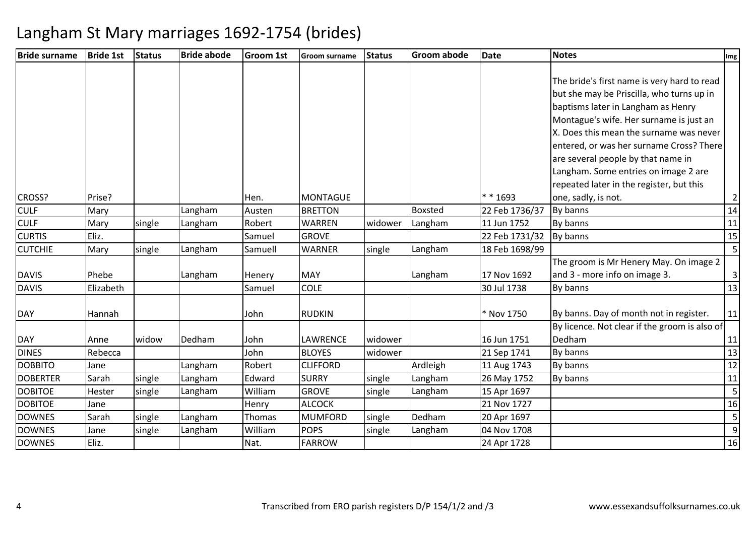| <b>Bride surname</b> | <b>Bride 1st</b> | <b>Status</b> | <b>Bride abode</b> | <b>Groom 1st</b> | <b>Groom surname</b> | <b>Status</b> | <b>Groom abode</b> | <b>Date</b>    | <b>Notes</b>                                  | Img            |
|----------------------|------------------|---------------|--------------------|------------------|----------------------|---------------|--------------------|----------------|-----------------------------------------------|----------------|
|                      |                  |               |                    |                  |                      |               |                    |                |                                               |                |
|                      |                  |               |                    |                  |                      |               |                    |                | The bride's first name is very hard to read   |                |
|                      |                  |               |                    |                  |                      |               |                    |                | but she may be Priscilla, who turns up in     |                |
|                      |                  |               |                    |                  |                      |               |                    |                | baptisms later in Langham as Henry            |                |
|                      |                  |               |                    |                  |                      |               |                    |                | Montague's wife. Her surname is just an       |                |
|                      |                  |               |                    |                  |                      |               |                    |                | X. Does this mean the surname was never       |                |
|                      |                  |               |                    |                  |                      |               |                    |                | entered, or was her surname Cross? There      |                |
|                      |                  |               |                    |                  |                      |               |                    |                | are several people by that name in            |                |
|                      |                  |               |                    |                  |                      |               |                    |                | Langham. Some entries on image 2 are          |                |
|                      |                  |               |                    |                  |                      |               |                    |                | repeated later in the register, but this      |                |
| <b>CROSS?</b>        | Prise?           |               |                    | Hen.             | MONTAGUE             |               |                    | * * 1693       | one, sadly, is not.                           | $\overline{2}$ |
| <b>CULF</b>          | Mary             |               | Langham            | Austen           | <b>BRETTON</b>       |               | <b>Boxsted</b>     | 22 Feb 1736/37 | By banns                                      | 14             |
| <b>CULF</b>          | Mary             | single        | Langham            | Robert           | <b>WARREN</b>        | widower       | Langham            | 11 Jun 1752    | By banns                                      | 11             |
| <b>CURTIS</b>        | Eliz.            |               |                    | Samuel           | <b>GROVE</b>         |               |                    | 22 Feb 1731/32 | By banns                                      | 15             |
| <b>CUTCHIE</b>       | Mary             | single        | Langham            | Samuell          | <b>WARNER</b>        | single        | Langham            | 18 Feb 1698/99 |                                               | 5              |
|                      |                  |               |                    |                  |                      |               |                    |                | The groom is Mr Henery May. On image 2        |                |
| <b>DAVIS</b>         | Phebe            |               | Langham            | Henery           | <b>MAY</b>           |               | Langham            | 17 Nov 1692    | and 3 - more info on image 3.                 | 3              |
| <b>DAVIS</b>         | Elizabeth        |               |                    | Samuel           | <b>COLE</b>          |               |                    | 30 Jul 1738    | By banns                                      | 13             |
| <b>DAY</b>           | Hannah           |               |                    | John             | <b>RUDKIN</b>        |               |                    | * Nov 1750     | By banns. Day of month not in register.       | 11             |
|                      |                  |               |                    |                  |                      |               |                    |                | By licence. Not clear if the groom is also of |                |
| <b>DAY</b>           | Anne             | widow         | Dedham             | John             | LAWRENCE             | widower       |                    | 16 Jun 1751    | Dedham                                        | 11             |
| <b>DINES</b>         | Rebecca          |               |                    | John             | <b>BLOYES</b>        | widower       |                    | 21 Sep 1741    | By banns                                      | 13             |
| <b>DOBBITO</b>       | Jane             |               | Langham            | Robert           | <b>CLIFFORD</b>      |               | Ardleigh           | 11 Aug 1743    | By banns                                      | 12             |
| <b>DOBERTER</b>      | Sarah            | single        | Langham            | Edward           | <b>SURRY</b>         | single        | Langham            | 26 May 1752    | By banns                                      | 11             |
| <b>DOBITOE</b>       | Hester           | single        | Langham            | William          | <b>GROVE</b>         | single        | Langham            | 15 Apr 1697    |                                               | 5              |
| <b>DOBITOE</b>       | Jane             |               |                    | Henry            | <b>ALCOCK</b>        |               |                    | 21 Nov 1727    |                                               | 16             |
| <b>DOWNES</b>        | Sarah            | single        | Langham            | Thomas           | <b>MUMFORD</b>       | single        | Dedham             | 20 Apr 1697    |                                               | 5              |
| <b>DOWNES</b>        | Jane             | single        | Langham            | William          | <b>POPS</b>          | single        | Langham            | 04 Nov 1708    |                                               | 9              |
| <b>DOWNES</b>        | Eliz.            |               |                    | Nat.             | <b>FARROW</b>        |               |                    | 24 Apr 1728    |                                               | 16             |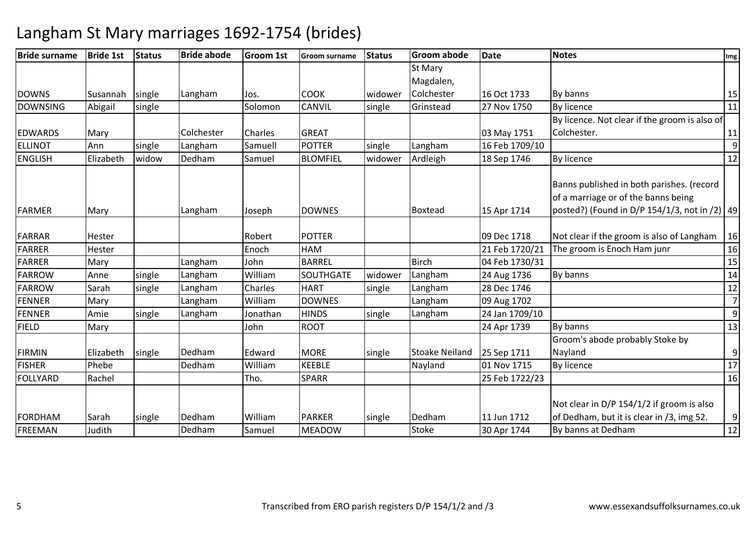| <b>Bride surname</b> | <b>Bride 1st</b> | <b>Status</b> | <b>Bride abode</b> | <b>Groom 1st</b> | <b>Groom surname</b> | <b>Status</b> | <b>Groom abode</b>    | Date           | <b>Notes</b>                                                                                                                      | Img              |
|----------------------|------------------|---------------|--------------------|------------------|----------------------|---------------|-----------------------|----------------|-----------------------------------------------------------------------------------------------------------------------------------|------------------|
|                      |                  |               |                    |                  |                      |               | St Mary               |                |                                                                                                                                   |                  |
|                      |                  |               |                    |                  |                      |               | Magdalen,             |                |                                                                                                                                   |                  |
| <b>DOWNS</b>         | Susannah         | single        | Langham            | Jos.             | <b>COOK</b>          | widower       | Colchester            | 16 Oct 1733    | By banns                                                                                                                          | 15               |
| <b>DOWNSING</b>      | Abigail          | single        |                    | Solomon          | <b>CANVIL</b>        | single        | Grinstead             | 27 Nov 1750    | <b>By licence</b>                                                                                                                 | 11               |
|                      |                  |               |                    |                  |                      |               |                       |                | By licence. Not clear if the groom is also of                                                                                     |                  |
| <b>EDWARDS</b>       | Mary             |               | Colchester         | Charles          | <b>GREAT</b>         |               |                       | 03 May 1751    | Colchester.                                                                                                                       | $11\,$           |
| <b>ELLINOT</b>       | Ann              | single        | Langham            | Samuell          | <b>POTTER</b>        | single        | Langham               | 16 Feb 1709/10 |                                                                                                                                   | ە                |
| <b>ENGLISH</b>       | Elizabeth        | widow         | Dedham             | Samuel           | <b>BLOMFIEL</b>      | widower       | Ardleigh              | 18 Sep 1746    | <b>By licence</b>                                                                                                                 | 12               |
| <b>FARMER</b>        | Mary             |               | Langham            | Joseph           | <b>DOWNES</b>        |               | <b>Boxtead</b>        | 15 Apr 1714    | Banns published in both parishes. (record<br>of a marriage or of the banns being<br>posted?) (Found in D/P 154/1/3, not in /2) 49 |                  |
| <b>FARRAR</b>        | <b>Hester</b>    |               |                    | Robert           | <b>POTTER</b>        |               |                       | 09 Dec 1718    | Not clear if the groom is also of Langham                                                                                         | 16               |
| <b>FARRER</b>        | Hester           |               |                    | Enoch            | HAM                  |               |                       | 21 Feb 1720/21 | The groom is Enoch Ham junr                                                                                                       | 16               |
| <b>FARRER</b>        | Mary             |               | Langham            | John             | <b>BARREL</b>        |               | <b>Birch</b>          | 04 Feb 1730/31 |                                                                                                                                   | 15               |
| <b>FARROW</b>        | Anne             | single        | Langham            | William          | SOUTHGATE            | widower       | Langham               | 24 Aug 1736    | By banns                                                                                                                          | 14               |
| <b>FARROW</b>        | Sarah            | single        | Langham            | Charles          | <b>HART</b>          | single        | Langham               | 28 Dec 1746    |                                                                                                                                   | 12               |
| <b>FENNER</b>        | Mary             |               | Langham            | William          | <b>DOWNES</b>        |               | Langham               | 09 Aug 1702    |                                                                                                                                   | $\overline{7}$   |
| <b>FENNER</b>        | Amie             | single        | Langham            | Jonathan         | <b>HINDS</b>         | single        | Langham               | 24 Jan 1709/10 |                                                                                                                                   | $\overline{9}$   |
| <b>FIELD</b>         | Mary             |               |                    | John             | <b>ROOT</b>          |               |                       | 24 Apr 1739    | By banns                                                                                                                          | 13               |
|                      |                  |               |                    |                  |                      |               |                       |                | Groom's abode probably Stoke by                                                                                                   |                  |
| <b>FIRMIN</b>        | Elizabeth        | single        | Dedham             | Edward           | <b>MORE</b>          | single        | <b>Stoake Neiland</b> | 25 Sep 1711    | Nayland                                                                                                                           | $\boldsymbol{9}$ |
| <b>FISHER</b>        | Phebe            |               | Dedham             | William          | <b>KEEBLE</b>        |               | Nayland               | 01 Nov 1715    | By licence                                                                                                                        | 17               |
| <b>FOLLYARD</b>      | Rachel           |               |                    | Tho.             | <b>SPARR</b>         |               |                       | 25 Feb 1722/23 |                                                                                                                                   | 16               |
| <b>FORDHAM</b>       | Sarah            | single        | Dedham             | William          | <b>PARKER</b>        | single        | Dedham                | 11 Jun 1712    | Not clear in D/P 154/1/2 if groom is also<br>of Dedham, but it is clear in /3, img 52.                                            | 9                |
| <b>FREEMAN</b>       | Judith           |               | Dedham             | Samuel           | <b>MEADOW</b>        |               | <b>Stoke</b>          | 30 Apr 1744    | By banns at Dedham                                                                                                                | 12               |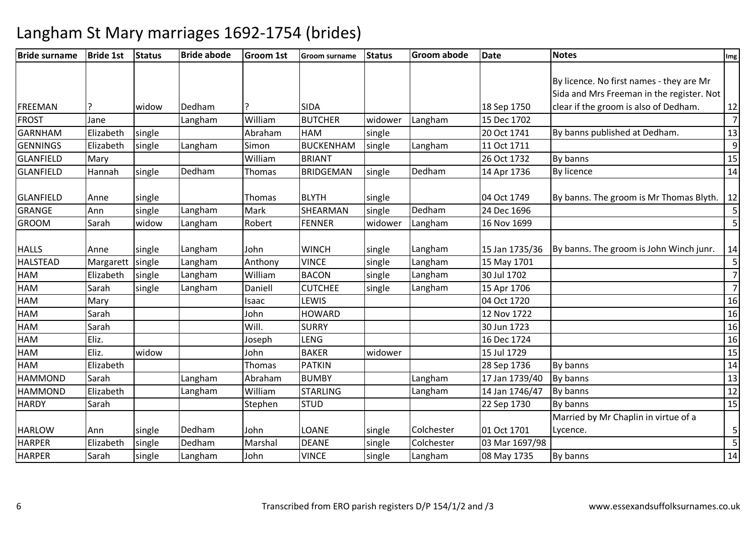| <b>Bride surname</b> | <b>Bride 1st</b> | <b>Status</b> | <b>Bride abode</b> | <b>Groom 1st</b> | <b>Groom surname</b> | <b>Status</b> | <b>Groom abode</b> | <b>Date</b>    | <b>Notes</b>                              | Img              |
|----------------------|------------------|---------------|--------------------|------------------|----------------------|---------------|--------------------|----------------|-------------------------------------------|------------------|
|                      |                  |               |                    |                  |                      |               |                    |                |                                           |                  |
|                      |                  |               |                    |                  |                      |               |                    |                | By licence. No first names - they are Mr  |                  |
|                      |                  |               |                    |                  |                      |               |                    |                | Sida and Mrs Freeman in the register. Not |                  |
| <b>FREEMAN</b>       |                  | widow         | Dedham             |                  | <b>SIDA</b>          |               |                    | 18 Sep 1750    | clear if the groom is also of Dedham.     | 12               |
| <b>FROST</b>         | Jane             |               | Langham            | William          | <b>BUTCHER</b>       | widower       | Langham            | 15 Dec 1702    |                                           | $\overline{7}$   |
| <b>GARNHAM</b>       | Elizabeth        | single        |                    | Abraham          | <b>HAM</b>           | single        |                    | 20 Oct 1741    | By banns published at Dedham.             | 13               |
| <b>GENNINGS</b>      | Elizabeth        | single        | Langham            | Simon            | <b>BUCKENHAM</b>     | single        | Langham            | 11 Oct 1711    |                                           | 9                |
| <b>GLANFIELD</b>     | Mary             |               |                    | William          | <b>BRIANT</b>        |               |                    | 26 Oct 1732    | By banns                                  | 15               |
| <b>GLANFIELD</b>     | Hannah           | single        | Dedham             | Thomas           | <b>BRIDGEMAN</b>     | single        | Dedham             | 14 Apr 1736    | <b>By licence</b>                         | 14               |
| <b>GLANFIELD</b>     | Anne             | single        |                    | Thomas           | <b>BLYTH</b>         | single        |                    | 04 Oct 1749    | By banns. The groom is Mr Thomas Blyth.   | 12               |
| <b>GRANGE</b>        | Ann              | single        | Langham            | Mark             | SHEARMAN             | single        | Dedham             | 24 Dec 1696    |                                           | 5                |
| <b>GROOM</b>         | Sarah            | widow         | Langham            | Robert           | <b>FENNER</b>        | widower       | Langham            | 16 Nov 1699    |                                           | 5                |
| <b>HALLS</b>         | Anne             | single        | Langham            | John             | <b>WINCH</b>         | single        | Langham            | 15 Jan 1735/36 | By banns. The groom is John Winch junr.   | 14               |
| <b>HALSTEAD</b>      | Margarett        | single        | Langham            | Anthony          | <b>VINCE</b>         | single        | Langham            | 15 May 1701    |                                           | $\overline{5}$   |
| <b>HAM</b>           | Elizabeth        | single        | Langham            | William          | <b>BACON</b>         | single        | Langham            | 30 Jul 1702    |                                           | $7 \overline{ }$ |
| <b>HAM</b>           | Sarah            | single        | Langham            | Daniell          | <b>CUTCHEE</b>       | single        | Langham            | 15 Apr 1706    |                                           | $\overline{7}$   |
| <b>HAM</b>           | Mary             |               |                    | Isaac            | LEWIS                |               |                    | 04 Oct 1720    |                                           | 16               |
| <b>HAM</b>           | Sarah            |               |                    | John             | <b>HOWARD</b>        |               |                    | 12 Nov 1722    |                                           | 16               |
| <b>HAM</b>           | Sarah            |               |                    | Will.            | <b>SURRY</b>         |               |                    | 30 Jun 1723    |                                           | 16               |
| <b>HAM</b>           | Eliz.            |               |                    | Joseph           | LENG                 |               |                    | 16 Dec 1724    |                                           | 16               |
| <b>HAM</b>           | Eliz.            | widow         |                    | John             | <b>BAKER</b>         | widower       |                    | 15 Jul 1729    |                                           | 15               |
| <b>HAM</b>           | Elizabeth        |               |                    | Thomas           | <b>PATKIN</b>        |               |                    | 28 Sep 1736    | By banns                                  | 14               |
| <b>HAMMOND</b>       | Sarah            |               | Langham            | Abraham          | <b>BUMBY</b>         |               | Langham            | 17 Jan 1739/40 | By banns                                  | $\overline{13}$  |
| <b>HAMMOND</b>       | Elizabeth        |               | Langham            | William          | <b>STARLING</b>      |               | Langham            | 14 Jan 1746/47 | By banns                                  | 12               |
| <b>HARDY</b>         | Sarah            |               |                    | Stephen          | <b>STUD</b>          |               |                    | 22 Sep 1730    | By banns                                  | 15               |
|                      |                  |               |                    |                  |                      |               |                    |                | Married by Mr Chaplin in virtue of a      |                  |
| <b>HARLOW</b>        | Ann              | single        | Dedham             | John             | <b>LOANE</b>         | single        | Colchester         | 01 Oct 1701    | Lycence.                                  | 5                |
| <b>HARPER</b>        | Elizabeth        | single        | Dedham             | Marshal          | <b>DEANE</b>         | single        | Colchester         | 03 Mar 1697/98 |                                           | $\mathsf S$      |
| <b>HARPER</b>        | Sarah            | single        | Langham            | John             | <b>VINCE</b>         | single        | Langham            | 08 May 1735    | By banns                                  | 14               |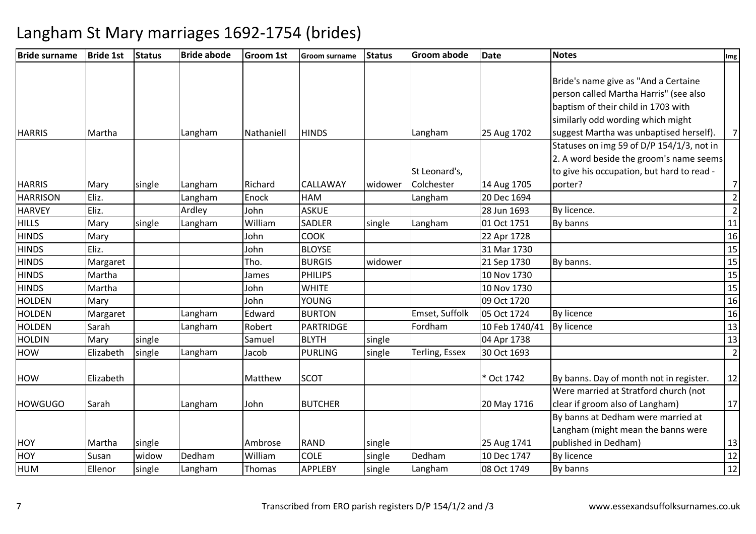| <b>Bride surname</b> | <b>Bride 1st</b> | <b>Status</b> | <b>Bride abode</b> | <b>Groom 1st</b> | Groom surname    | <b>Status</b> | <b>Groom abode</b> | <b>Date</b>    | <b>Notes</b>                               | Img             |
|----------------------|------------------|---------------|--------------------|------------------|------------------|---------------|--------------------|----------------|--------------------------------------------|-----------------|
|                      |                  |               |                    |                  |                  |               |                    |                |                                            |                 |
|                      |                  |               |                    |                  |                  |               |                    |                | Bride's name give as "And a Certaine       |                 |
|                      |                  |               |                    |                  |                  |               |                    |                | person called Martha Harris" (see also     |                 |
|                      |                  |               |                    |                  |                  |               |                    |                | baptism of their child in 1703 with        |                 |
|                      |                  |               |                    |                  |                  |               |                    |                | similarly odd wording which might          |                 |
| <b>HARRIS</b>        | Martha           |               | Langham            | Nathaniell       | <b>HINDS</b>     |               | Langham            | 25 Aug 1702    | suggest Martha was unbaptised herself).    | 7               |
|                      |                  |               |                    |                  |                  |               |                    |                | Statuses on img 59 of D/P 154/1/3, not in  |                 |
|                      |                  |               |                    |                  |                  |               |                    |                | 2. A word beside the groom's name seems    |                 |
|                      |                  |               |                    |                  |                  |               | St Leonard's,      |                | to give his occupation, but hard to read - |                 |
| <b>HARRIS</b>        | Mary             | single        | Langham            | Richard          | <b>CALLAWAY</b>  | widower       | Colchester         | 14 Aug 1705    | porter?                                    | 7 <sup>1</sup>  |
| <b>HARRISON</b>      | Eliz.            |               | Langham            | Enock            | HAM              |               | Langham            | 20 Dec 1694    |                                            | $\overline{2}$  |
| <b>HARVEY</b>        | Eliz.            |               | Ardley             | John             | <b>ASKUE</b>     |               |                    | 28 Jun 1693    | By licence.                                | $\overline{2}$  |
| <b>HILLS</b>         | Mary             | single        | Langham            | William          | SADLER           | single        | Langham            | 01 Oct 1751    | By banns                                   | 11              |
| <b>HINDS</b>         | Mary             |               |                    | John             | <b>COOK</b>      |               |                    | 22 Apr 1728    |                                            | 16              |
| <b>HINDS</b>         | Eliz.            |               |                    | John             | <b>BLOYSE</b>    |               |                    | 31 Mar 1730    |                                            | 15              |
| <b>HINDS</b>         | Margaret         |               |                    | Tho.             | <b>BURGIS</b>    | widower       |                    | 21 Sep 1730    | By banns.                                  | 15              |
| <b>HINDS</b>         | Martha           |               |                    | James            | <b>PHILIPS</b>   |               |                    | 10 Nov 1730    |                                            | $\overline{15}$ |
| <b>HINDS</b>         | Martha           |               |                    | John             | <b>WHITE</b>     |               |                    | 10 Nov 1730    |                                            | 15              |
| <b>HOLDEN</b>        | Mary             |               |                    | John             | <b>YOUNG</b>     |               |                    | 09 Oct 1720    |                                            | 16              |
| <b>HOLDEN</b>        | Margaret         |               | Langham            | Edward           | <b>BURTON</b>    |               | Emset, Suffolk     | 05 Oct 1724    | <b>By licence</b>                          | 16              |
| <b>HOLDEN</b>        | Sarah            |               | Langham            | Robert           | <b>PARTRIDGE</b> |               | Fordham            | 10 Feb 1740/41 | <b>By licence</b>                          | 13              |
| <b>HOLDIN</b>        | Mary             | single        |                    | Samuel           | <b>BLYTH</b>     | single        |                    | 04 Apr 1738    |                                            | 13              |
| <b>HOW</b>           | Elizabeth        | single        | Langham            | Jacob            | <b>PURLING</b>   | single        | Terling, Essex     | 30 Oct 1693    |                                            | $\overline{2}$  |
|                      |                  |               |                    |                  |                  |               |                    |                |                                            |                 |
| <b>HOW</b>           | Elizabeth        |               |                    | Matthew          | <b>SCOT</b>      |               |                    | * Oct 1742     | By banns. Day of month not in register.    | 12              |
|                      |                  |               |                    |                  |                  |               |                    |                | Were married at Stratford church (not      |                 |
| <b>HOWGUGO</b>       | Sarah            |               | Langham            | John             | <b>BUTCHER</b>   |               |                    | 20 May 1716    | clear if groom also of Langham)            | 17              |
|                      |                  |               |                    |                  |                  |               |                    |                | By banns at Dedham were married at         |                 |
|                      |                  |               |                    |                  |                  |               |                    |                | Langham (might mean the banns were         |                 |
| <b>HOY</b>           | Martha           | single        |                    | Ambrose          | <b>RAND</b>      | single        |                    | 25 Aug 1741    | published in Dedham)                       | 13              |
| HOY                  | Susan            | widow         | Dedham             | William          | <b>COLE</b>      | single        | Dedham             | 10 Dec 1747    | <b>By licence</b>                          | 12              |
| <b>HUM</b>           | Ellenor          | single        | Langham            | Thomas           | <b>APPLEBY</b>   | single        | Langham            | 08 Oct 1749    | By banns                                   | 12              |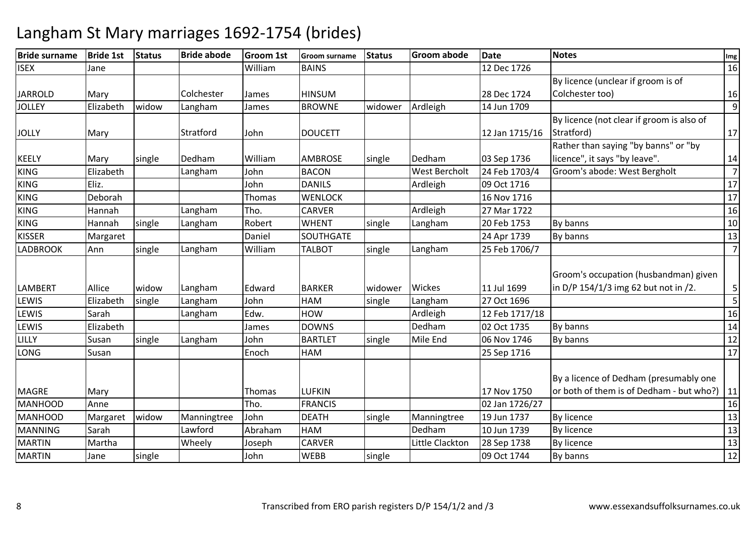| <b>Bride surname</b> | <b>Bride 1st</b> | <b>Status</b> | <b>Bride abode</b> | <b>Groom 1st</b> | <b>Groom surname</b> | <b>Status</b> | <b>Groom abode</b>   | <b>Date</b>    | <b>Notes</b>                              | Img            |
|----------------------|------------------|---------------|--------------------|------------------|----------------------|---------------|----------------------|----------------|-------------------------------------------|----------------|
| <b>ISEX</b>          | Jane             |               |                    | William          | <b>BAINS</b>         |               |                      | 12 Dec 1726    |                                           | 16             |
|                      |                  |               |                    |                  |                      |               |                      |                | By licence (unclear if groom is of        |                |
| <b>JARROLD</b>       | Mary             |               | Colchester         | James            | <b>HINSUM</b>        |               |                      | 28 Dec 1724    | Colchester too)                           | 16             |
| <b>JOLLEY</b>        | Elizabeth        | widow         | Langham            | James            | <b>BROWNE</b>        | widower       | Ardleigh             | 14 Jun 1709    |                                           | 9              |
|                      |                  |               |                    |                  |                      |               |                      |                | By licence (not clear if groom is also of |                |
| <b>JOLLY</b>         | Mary             |               | Stratford          | John             | <b>DOUCETT</b>       |               |                      | 12 Jan 1715/16 | Stratford)                                | 17             |
|                      |                  |               |                    |                  |                      |               |                      |                | Rather than saying "by banns" or "by      |                |
| <b>KEELY</b>         | Mary             | single        | Dedham             | William          | <b>AMBROSE</b>       | single        | Dedham               | 03 Sep 1736    | licence", it says "by leave".             | 14             |
| <b>KING</b>          | Elizabeth        |               | Langham            | John             | <b>BACON</b>         |               | <b>West Bercholt</b> | 24 Feb 1703/4  | Groom's abode: West Bergholt              | $\overline{7}$ |
| <b>KING</b>          | Eliz.            |               |                    | John             | <b>DANILS</b>        |               | Ardleigh             | 09 Oct 1716    |                                           | 17             |
| <b>KING</b>          | Deborah          |               |                    | Thomas           | <b>WENLOCK</b>       |               |                      | 16 Nov 1716    |                                           | 17             |
| <b>KING</b>          | Hannah           |               | Langham            | Tho.             | <b>CARVER</b>        |               | Ardleigh             | 27 Mar 1722    |                                           | 16             |
| <b>KING</b>          | Hannah           | single        | Langham            | Robert           | <b>WHENT</b>         | single        | Langham              | 20 Feb 1753    | By banns                                  | 10             |
| <b>KISSER</b>        | Margaret         |               |                    | Daniel           | <b>SOUTHGATE</b>     |               |                      | 24 Apr 1739    | By banns                                  | 13             |
| <b>LADBROOK</b>      | Ann              | single        | Langham            | William          | <b>TALBOT</b>        | single        | Langham              | 25 Feb 1706/7  |                                           | $\overline{7}$ |
|                      |                  |               |                    |                  |                      |               |                      |                | Groom's occupation (husbandman) given     |                |
| <b>LAMBERT</b>       | Allice           | widow         | Langham            | Edward           | <b>BARKER</b>        | widower       | Wickes               | 11 Jul 1699    | in D/P 154/1/3 img 62 but not in /2.      | 5 <sub>l</sub> |
| <b>LEWIS</b>         | Elizabeth        | single        | Langham            | John             | HAM                  | single        | Langham              | 27 Oct 1696    |                                           | 5 <sup>1</sup> |
| <b>LEWIS</b>         | Sarah            |               | Langham            | Edw.             | HOW                  |               | Ardleigh             | 12 Feb 1717/18 |                                           | 16             |
| <b>LEWIS</b>         | Elizabeth        |               |                    | James            | <b>DOWNS</b>         |               | Dedham               | 02 Oct 1735    | By banns                                  | 14             |
| LILLY                | Susan            | single        | Langham            | John             | <b>BARTLET</b>       | single        | Mile End             | 06 Nov 1746    | By banns                                  | 12             |
| LONG                 | Susan            |               |                    | Enoch            | <b>HAM</b>           |               |                      | 25 Sep 1716    |                                           | 17             |
|                      |                  |               |                    |                  |                      |               |                      |                | By a licence of Dedham (presumably one    |                |
| <b>MAGRE</b>         | Mary             |               |                    | <b>Thomas</b>    | <b>LUFKIN</b>        |               |                      | 17 Nov 1750    | or both of them is of Dedham - but who?)  | 11             |
| MANHOOD              | Anne             |               |                    | Tho.             | <b>FRANCIS</b>       |               |                      | 02 Jan 1726/27 |                                           | 16             |
| <b>MANHOOD</b>       | Margaret         | widow         | Manningtree        | John             | <b>DEATH</b>         | single        | Manningtree          | 19 Jun 1737    | <b>By licence</b>                         | 13             |
| <b>MANNING</b>       | Sarah            |               | Lawford            | Abraham          | <b>HAM</b>           |               | Dedham               | 10 Jun 1739    | <b>By licence</b>                         | 13             |
| <b>MARTIN</b>        | Martha           |               | Wheely             | Joseph           | <b>CARVER</b>        |               | Little Clackton      | 28 Sep 1738    | By licence                                | 13             |
| <b>MARTIN</b>        | Jane             | single        |                    | John             | <b>WEBB</b>          | single        |                      | 09 Oct 1744    | By banns                                  | $12\,$         |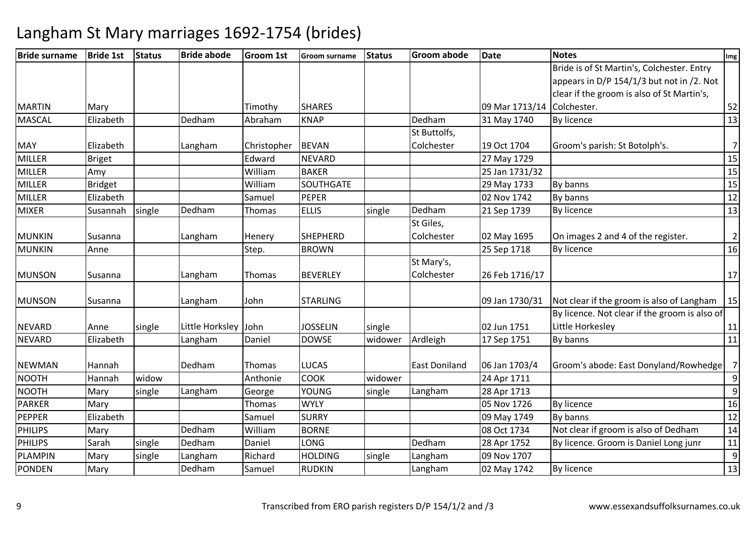| <b>Bride surname</b> | <b>Bride 1st</b> | <b>Status</b> | <b>Bride abode</b>   | <b>Groom 1st</b> | Groom surname    | <b>Status</b> | <b>Groom abode</b>   | <b>Date</b>    | <b>Notes</b>                                  | Img              |
|----------------------|------------------|---------------|----------------------|------------------|------------------|---------------|----------------------|----------------|-----------------------------------------------|------------------|
|                      |                  |               |                      |                  |                  |               |                      |                | Bride is of St Martin's, Colchester. Entry    |                  |
|                      |                  |               |                      |                  |                  |               |                      |                | appears in D/P 154/1/3 but not in /2. Not     |                  |
|                      |                  |               |                      |                  |                  |               |                      |                | clear if the groom is also of St Martin's,    |                  |
| <b>MARTIN</b>        | Mary             |               |                      | Timothy          | <b>SHARES</b>    |               |                      | 09 Mar 1713/14 | Colchester.                                   | 52               |
| <b>MASCAL</b>        | Elizabeth        |               | Dedham               | Abraham          | <b>KNAP</b>      |               | Dedham               | 31 May 1740    | <b>By licence</b>                             | $\overline{13}$  |
|                      |                  |               |                      |                  |                  |               | St Buttolfs,         |                |                                               |                  |
| <b>MAY</b>           | Elizabeth        |               | Langham              | Christopher      | <b>BEVAN</b>     |               | Colchester           | 19 Oct 1704    | Groom's parish: St Botolph's.                 | $\overline{7}$   |
| <b>MILLER</b>        | <b>Briget</b>    |               |                      | Edward           | <b>NEVARD</b>    |               |                      | 27 May 1729    |                                               | 15               |
| <b>MILLER</b>        | Amy              |               |                      | William          | <b>BAKER</b>     |               |                      | 25 Jan 1731/32 |                                               | 15               |
| <b>MILLER</b>        | <b>Bridget</b>   |               |                      | William          | <b>SOUTHGATE</b> |               |                      | 29 May 1733    | By banns                                      | 15               |
| <b>MILLER</b>        | Elizabeth        |               |                      | Samuel           | <b>PEPER</b>     |               |                      | 02 Nov 1742    | By banns                                      | 12               |
| <b>MIXER</b>         | Susannah         | single        | Dedham               | Thomas           | <b>ELLIS</b>     | single        | Dedham               | 21 Sep 1739    | <b>By licence</b>                             | 13               |
|                      |                  |               |                      |                  |                  |               | St Giles,            |                |                                               |                  |
| <b>MUNKIN</b>        | Susanna          |               | Langham              | Henery           | <b>SHEPHERD</b>  |               | Colchester           | 02 May 1695    | On images 2 and 4 of the register.            | $\overline{2}$   |
| <b>MUNKIN</b>        | Anne             |               |                      | Step.            | <b>BROWN</b>     |               |                      | 25 Sep 1718    | By licence                                    | 16               |
|                      |                  |               |                      |                  |                  |               | St Mary's,           |                |                                               |                  |
| <b>MUNSON</b>        | Susanna          |               | Langham              | Thomas           | <b>BEVERLEY</b>  |               | Colchester           | 26 Feb 1716/17 |                                               | 17               |
|                      |                  |               |                      |                  |                  |               |                      |                |                                               |                  |
| <b>MUNSON</b>        | Susanna          |               | Langham              | John             | <b>STARLING</b>  |               |                      | 09 Jan 1730/31 | Not clear if the groom is also of Langham     | 15               |
|                      |                  |               |                      |                  |                  |               |                      |                | By licence. Not clear if the groom is also of |                  |
| <b>NEVARD</b>        | Anne             | single        | Little Horksley John |                  | <b>JOSSELIN</b>  | single        |                      | 02 Jun 1751    | Little Horkesley                              | 11               |
| <b>NEVARD</b>        | Elizabeth        |               | Langham              | Daniel           | <b>DOWSE</b>     | widower       | Ardleigh             | 17 Sep 1751    | By banns                                      | 11               |
|                      |                  |               |                      |                  |                  |               |                      |                |                                               |                  |
| <b>NEWMAN</b>        | Hannah           |               | Dedham               | Thomas           | <b>LUCAS</b>     |               | <b>East Doniland</b> | 06 Jan 1703/4  | Groom's abode: East Donyland/Rowhedge         | 7                |
| <b>NOOTH</b>         | Hannah           | widow         |                      | Anthonie         | <b>COOK</b>      | widower       |                      | 24 Apr 1711    |                                               | $\boldsymbol{9}$ |
| <b>NOOTH</b>         | Mary             | single        | Langham              | George           | <b>YOUNG</b>     | single        | Langham              | 28 Apr 1713    |                                               | $\overline{9}$   |
| <b>PARKER</b>        | Mary             |               |                      | Thomas           | <b>WYLY</b>      |               |                      | 05 Nov 1726    | <b>By licence</b>                             | 16               |
| <b>PEPPER</b>        | Elizabeth        |               |                      | Samuel           | <b>SURRY</b>     |               |                      | 09 May 1749    | By banns                                      | 12               |
| <b>PHILIPS</b>       | Mary             |               | Dedham               | William          | <b>BORNE</b>     |               |                      | 08 Oct 1734    | Not clear if groom is also of Dedham          | 14               |
| <b>PHILIPS</b>       | Sarah            | single        | Dedham               | Daniel           | <b>LONG</b>      |               | Dedham               | 28 Apr 1752    | By licence. Groom is Daniel Long junr         | 11               |
| <b>PLAMPIN</b>       | Mary             | single        | Langham              | Richard          | <b>HOLDING</b>   | single        | Langham              | 09 Nov 1707    |                                               | $\boldsymbol{9}$ |
| <b>PONDEN</b>        | Mary             |               | Dedham               | Samuel           | <b>RUDKIN</b>    |               | Langham              | 02 May 1742    | <b>By licence</b>                             | 13               |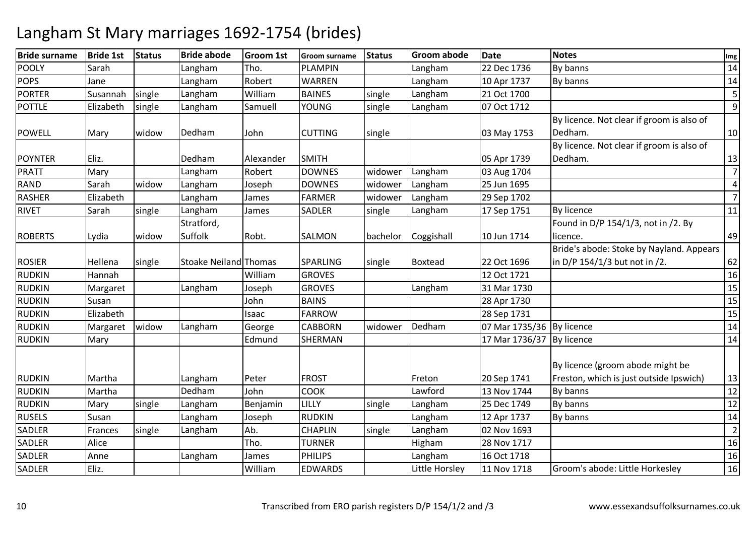| <b>Bride surname</b> | <b>Bride 1st</b> | <b>Status</b> | <b>Bride abode</b>           | <b>Groom 1st</b> | Groom surname  | <b>Status</b> | <b>Groom abode</b> | <b>Date</b>               | <b>Notes</b>                              | Img            |
|----------------------|------------------|---------------|------------------------------|------------------|----------------|---------------|--------------------|---------------------------|-------------------------------------------|----------------|
| <b>POOLY</b>         | Sarah            |               | Langham                      | Tho.             | <b>PLAMPIN</b> |               | Langham            | 22 Dec 1736               | By banns                                  | 14             |
| <b>POPS</b>          | Jane             |               | Langham                      | Robert           | <b>WARREN</b>  |               | Langham            | 10 Apr 1737               | By banns                                  | 14             |
| <b>PORTER</b>        | Susannah         | single        | Langham                      | William          | <b>BAINES</b>  | single        | Langham            | 21 Oct 1700               |                                           | 5              |
| <b>POTTLE</b>        | Elizabeth        | single        | Langham                      | Samuell          | <b>YOUNG</b>   | single        | Langham            | 07 Oct 1712               |                                           | 9              |
|                      |                  |               |                              |                  |                |               |                    |                           | By licence. Not clear if groom is also of |                |
| <b>POWELL</b>        | Mary             | widow         | Dedham                       | John             | <b>CUTTING</b> | single        |                    | 03 May 1753               | Dedham.                                   | 10             |
|                      |                  |               |                              |                  |                |               |                    |                           | By licence. Not clear if groom is also of |                |
| <b>POYNTER</b>       | Eliz.            |               | Dedham                       | Alexander        | <b>SMITH</b>   |               |                    | 05 Apr 1739               | Dedham.                                   | 13             |
| <b>PRATT</b>         | Mary             |               | Langham                      | Robert           | <b>DOWNES</b>  | widower       | Langham            | 03 Aug 1704               |                                           | $\overline{7}$ |
| RAND                 | Sarah            | widow         | Langham                      | Joseph           | <b>DOWNES</b>  | widower       | Langham            | 25 Jun 1695               |                                           | $\overline{4}$ |
| RASHER               | Elizabeth        |               | Langham                      | James            | <b>FARMER</b>  | widower       | Langham            | 29 Sep 1702               |                                           | $\overline{7}$ |
| <b>RIVET</b>         | Sarah            | single        | Langham                      | James            | SADLER         | single        | Langham            | 17 Sep 1751               | By licence                                | 11             |
|                      |                  |               | Stratford,                   |                  |                |               |                    |                           | Found in D/P 154/1/3, not in /2. By       |                |
| <b>ROBERTS</b>       | Lydia            | widow         | Suffolk                      | Robt.            | SALMON         | bachelor      | Coggishall         | 10 Jun 1714               | licence.                                  | 49             |
|                      |                  |               |                              |                  |                |               |                    |                           | Bride's abode: Stoke by Nayland. Appears  |                |
| <b>ROSIER</b>        | Hellena          | single        | <b>Stoake Neiland Thomas</b> |                  | SPARLING       | single        | Boxtead            | 22 Oct 1696               | in D/P 154/1/3 but not in /2.             | 62             |
| <b>RUDKIN</b>        | Hannah           |               |                              | William          | <b>GROVES</b>  |               |                    | 12 Oct 1721               |                                           | 16             |
| <b>RUDKIN</b>        | Margaret         |               | Langham                      | Joseph           | <b>GROVES</b>  |               | Langham            | 31 Mar 1730               |                                           | 15             |
| <b>RUDKIN</b>        | Susan            |               |                              | John             | <b>BAINS</b>   |               |                    | 28 Apr 1730               |                                           | 15             |
| RUDKIN               | Elizabeth        |               |                              | Isaac            | <b>FARROW</b>  |               |                    | 28 Sep 1731               |                                           | 15             |
| <b>RUDKIN</b>        | Margaret         | widow         | Langham                      | George           | <b>CABBORN</b> | widower       | Dedham             | 07 Mar 1735/36 By licence |                                           | 14             |
| <b>RUDKIN</b>        | Mary             |               |                              | Edmund           | SHERMAN        |               |                    | 17 Mar 1736/37 By licence |                                           | 14             |
|                      |                  |               |                              |                  |                |               |                    |                           |                                           |                |
|                      |                  |               |                              |                  |                |               |                    |                           | By licence (groom abode might be          |                |
| <b>RUDKIN</b>        | Martha           |               | Langham                      | Peter            | <b>FROST</b>   |               | Freton             | 20 Sep 1741               | Freston, which is just outside Ipswich)   | 13             |
| <b>RUDKIN</b>        | Martha           |               | Dedham                       | John             | <b>COOK</b>    |               | Lawford            | 13 Nov 1744               | By banns                                  | $12\,$         |
| <b>RUDKIN</b>        | Mary             | single        | Langham                      | Benjamin         | LILLY          | single        | Langham            | 25 Dec 1749               | By banns                                  | 12             |
| <b>RUSELS</b>        | Susan            |               | Langham                      | Joseph           | <b>RUDKIN</b>  |               | Langham            | 12 Apr 1737               | By banns                                  | 14             |
| <b>SADLER</b>        | Frances          | single        | Langham                      | Ab.              | CHAPLIN        | single        | Langham            | 02 Nov 1693               |                                           | $\overline{2}$ |
| <b>SADLER</b>        | Alice            |               |                              | Tho.             | <b>TURNER</b>  |               | Higham             | 28 Nov 1717               |                                           | 16             |
| <b>SADLER</b>        | Anne             |               | Langham                      | James            | <b>PHILIPS</b> |               | Langham            | 16 Oct 1718               |                                           | 16             |
| SADLER               | Eliz.            |               |                              | William          | <b>EDWARDS</b> |               | Little Horsley     | 11 Nov 1718               | Groom's abode: Little Horkesley           | 16             |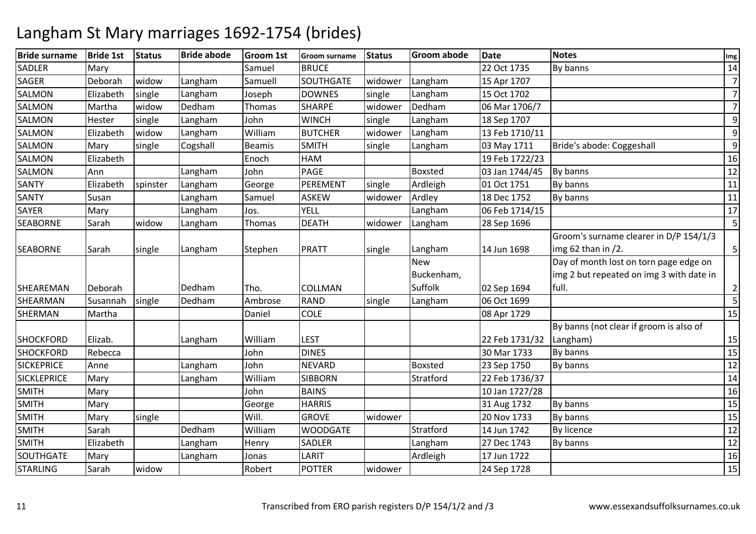| <b>Bride surname</b> | <b>Bride 1st</b> | <b>Status</b> | <b>Bride abode</b> | <b>Groom 1st</b> | Groom surname   | <b>Status</b> | <b>Groom abode</b> | <b>Date</b>    | Notes                                    | Img              |
|----------------------|------------------|---------------|--------------------|------------------|-----------------|---------------|--------------------|----------------|------------------------------------------|------------------|
| <b>SADLER</b>        | Mary             |               |                    | Samuel           | <b>BRUCE</b>    |               |                    | 22 Oct 1735    | By banns                                 | 14               |
| <b>SAGER</b>         | Deborah          | widow         | Langham            | Samuell          | SOUTHGATE       | widower       | Langham            | 15 Apr 1707    |                                          | $\overline{7}$   |
| SALMON               | Elizabeth        | single        | Langham            | Joseph           | <b>DOWNES</b>   | single        | Langham            | 15 Oct 1702    |                                          | $\overline{7}$   |
| <b>SALMON</b>        | Martha           | widow         | Dedham             | <b>Thomas</b>    | <b>SHARPE</b>   | widower       | Dedham             | 06 Mar 1706/7  |                                          | $\overline{7}$   |
| <b>SALMON</b>        | Hester           | single        | Langham            | John             | <b>WINCH</b>    | single        | Langham            | 18 Sep 1707    |                                          | 9                |
| <b>SALMON</b>        | Elizabeth        | widow         | Langham            | William          | <b>BUTCHER</b>  | widower       | Langham            | 13 Feb 1710/11 |                                          | $\boldsymbol{9}$ |
| SALMON               | Mary             | single        | Cogshall           | Beamis           | <b>SMITH</b>    | single        | Langham            | 03 May 1711    | Bride's abode: Coggeshall                | $\boldsymbol{9}$ |
| <b>SALMON</b>        | Elizabeth        |               |                    | Enoch            | HAM             |               |                    | 19 Feb 1722/23 |                                          | 16               |
| <b>SALMON</b>        | Ann              |               | Langham            | John             | <b>PAGE</b>     |               | Boxsted            | 03 Jan 1744/45 | By banns                                 | 12               |
| <b>SANTY</b>         | Elizabeth        | spinster      | Langham            | George           | PEREMENT        | single        | Ardleigh           | 01 Oct 1751    | By banns                                 | $11\,$           |
| <b>SANTY</b>         | Susan            |               | Langham            | Samuel           | <b>ASKEW</b>    | widower       | Ardley             | 18 Dec 1752    | By banns                                 | 11               |
| <b>SAYER</b>         | Mary             |               | Langham            | Jos.             | YELL            |               | Langham            | 06 Feb 1714/15 |                                          | 17               |
| <b>SEABORNE</b>      | Sarah            | widow         | Langham            | Thomas           | <b>DEATH</b>    | widower       | Langham            | 28 Sep 1696    |                                          | 5                |
|                      |                  |               |                    |                  |                 |               |                    |                | Groom's surname clearer in D/P 154/1/3   |                  |
| <b>SEABORNE</b>      | Sarah            | single        | Langham            | Stephen          | <b>PRATT</b>    | single        | Langham            | 14 Jun 1698    | img $62$ than in $/2$ .                  | 5                |
|                      |                  |               |                    |                  |                 |               | <b>New</b>         |                | Day of month lost on torn page edge on   |                  |
|                      |                  |               |                    |                  |                 |               | Buckenham,         |                | img 2 but repeated on img 3 with date in |                  |
| SHEAREMAN            | Deborah          |               | Dedham             | Tho.             | <b>COLLMAN</b>  |               | Suffolk            | 02 Sep 1694    | full.                                    | $\overline{2}$   |
| SHEARMAN             | Susannah         | single        | Dedham             | Ambrose          | <b>RAND</b>     | single        | Langham            | 06 Oct 1699    |                                          | 5                |
| SHERMAN              | Martha           |               |                    | Daniel           | <b>COLE</b>     |               |                    | 08 Apr 1729    |                                          | 15               |
|                      |                  |               |                    |                  |                 |               |                    |                | By banns (not clear if groom is also of  |                  |
| <b>SHOCKFORD</b>     | Elizab.          |               | Langham            | William          | <b>LEST</b>     |               |                    | 22 Feb 1731/32 | Langham)                                 | 15               |
| <b>SHOCKFORD</b>     | Rebecca          |               |                    | John             | <b>DINES</b>    |               |                    | 30 Mar 1733    | By banns                                 | 15               |
| <b>SICKEPRICE</b>    | Anne             |               | Langham            | John             | <b>NEVARD</b>   |               | <b>Boxsted</b>     | 23 Sep 1750    | By banns                                 | $\overline{12}$  |
| <b>SICKLEPRICE</b>   | Mary             |               | Langham            | William          | SIBBORN         |               | Stratford          | 22 Feb 1736/37 |                                          | 14               |
| <b>SMITH</b>         | Mary             |               |                    | John             | <b>BAINS</b>    |               |                    | 10 Jan 1727/28 |                                          | 16               |
| <b>SMITH</b>         | Mary             |               |                    | George           | <b>HARRIS</b>   |               |                    | 31 Aug 1732    | By banns                                 | 15               |
| <b>SMITH</b>         | Mary             | single        |                    | Will.            | <b>GROVE</b>    | widower       |                    | 20 Nov 1733    | By banns                                 | $\overline{15}$  |
| <b>SMITH</b>         | Sarah            |               | Dedham             | William          | <b>WOODGATE</b> |               | Stratford          | 14 Jun 1742    | <b>By licence</b>                        | 12               |
| <b>SMITH</b>         | Elizabeth        |               | Langham            | Henry            | SADLER          |               | Langham            | 27 Dec 1743    | By banns                                 | $\overline{12}$  |
| SOUTHGATE            | Mary             |               | Langham            | Jonas            | LARIT           |               | Ardleigh           | 17 Jun 1722    |                                          | 16               |
| <b>STARLING</b>      | Sarah            | widow         |                    | Robert           | POTTER          | widower       |                    | 24 Sep 1728    |                                          | $\overline{15}$  |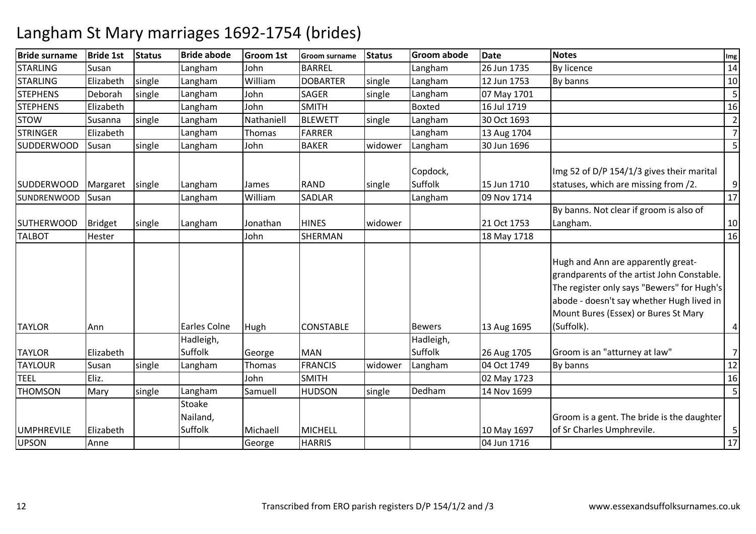| <b>Bride surname</b> | <b>Bride 1st</b> | <b>Status</b> | <b>Bride abode</b>            | Groom 1st  | Groom surname    | <b>Status</b> | <b>Groom abode</b>   | <b>Date</b> | <b>Notes</b>                                                                                                                                                                                                        | Img                  |
|----------------------|------------------|---------------|-------------------------------|------------|------------------|---------------|----------------------|-------------|---------------------------------------------------------------------------------------------------------------------------------------------------------------------------------------------------------------------|----------------------|
| <b>STARLING</b>      | Susan            |               | Langham                       | John       | <b>BARREL</b>    |               | Langham              | 26 Jun 1735 | <b>By licence</b>                                                                                                                                                                                                   | 14                   |
| <b>STARLING</b>      | Elizabeth        | single        | Langham                       | William    | <b>DOBARTER</b>  | single        | Langham              | 12 Jun 1753 | By banns                                                                                                                                                                                                            | 10                   |
| <b>STEPHENS</b>      | Deborah          | single        | Langham                       | John       | SAGER            | single        | Langham              | 07 May 1701 |                                                                                                                                                                                                                     | 5                    |
| <b>STEPHENS</b>      | Elizabeth        |               | Langham                       | John       | <b>SMITH</b>     |               | <b>Boxted</b>        | 16 Jul 1719 |                                                                                                                                                                                                                     | 16                   |
| <b>STOW</b>          | Susanna          | single        | Langham                       | Nathaniell | <b>BLEWETT</b>   | single        | Langham              | 30 Oct 1693 |                                                                                                                                                                                                                     | $\overline{2}$       |
| <b>STRINGER</b>      | Elizabeth        |               | Langham                       | Thomas     | <b>FARRER</b>    |               | Langham              | 13 Aug 1704 |                                                                                                                                                                                                                     | $\overline{7}$       |
| <b>SUDDERWOOD</b>    | Susan            | single        | Langham                       | John       | <b>BAKER</b>     | widower       | Langham              | 30 Jun 1696 |                                                                                                                                                                                                                     | 5                    |
|                      |                  |               |                               |            |                  |               | Copdock,             |             | Img 52 of D/P 154/1/3 gives their marital                                                                                                                                                                           |                      |
| <b>SUDDERWOOD</b>    | Margaret         | single        | Langham                       | James      | <b>RAND</b>      | single        | Suffolk              | 15 Jun 1710 | statuses, which are missing from /2.                                                                                                                                                                                | 9 <sup>1</sup>       |
| <b>SUNDRENWOOD</b>   | Susan            |               | Langham                       | William    | SADLAR           |               | Langham              | 09 Nov 1714 |                                                                                                                                                                                                                     | 17                   |
|                      |                  |               |                               |            |                  |               |                      |             | By banns. Not clear if groom is also of                                                                                                                                                                             |                      |
| <b>SUTHERWOOD</b>    | <b>Bridget</b>   | single        | Langham                       | Jonathan   | <b>HINES</b>     | widower       |                      | 21 Oct 1753 | Langham.                                                                                                                                                                                                            | 10                   |
| <b>TALBOT</b>        | Hester           |               |                               | John       | SHERMAN          |               |                      | 18 May 1718 |                                                                                                                                                                                                                     | 16                   |
|                      |                  |               |                               |            |                  |               |                      |             | Hugh and Ann are apparently great-<br>grandparents of the artist John Constable.<br>The register only says "Bewers" for Hugh's<br>abode - doesn't say whether Hugh lived in<br>Mount Bures (Essex) or Bures St Mary |                      |
| <b>TAYLOR</b>        | Ann              |               | Earles Colne                  | Hugh       | <b>CONSTABLE</b> |               | <b>Bewers</b>        | 13 Aug 1695 | (Suffolk).                                                                                                                                                                                                          | $\overline{4}$       |
| <b>TAYLOR</b>        | Elizabeth        |               | Hadleigh,<br>Suffolk          | George     | <b>MAN</b>       |               | Hadleigh,<br>Suffolk | 26 Aug 1705 | Groom is an "atturney at law"                                                                                                                                                                                       | 7 <sup>1</sup>       |
| <b>TAYLOUR</b>       | Susan            | single        | Langham                       | Thomas     | <b>FRANCIS</b>   | widower       | Langham              | 04 Oct 1749 | By banns                                                                                                                                                                                                            | 12                   |
| <b>TEEL</b>          | Eliz.            |               |                               | John       | <b>SMITH</b>     |               |                      | 02 May 1723 |                                                                                                                                                                                                                     | 16                   |
| <b>THOMSON</b>       | Mary             | single        | Langham                       | Samuell    | <b>HUDSON</b>    | single        | Dedham               | 14 Nov 1699 |                                                                                                                                                                                                                     | 5                    |
| <b>UMPHREVILE</b>    |                  |               | Stoake<br>Nailand,<br>Suffolk |            | <b>MICHELL</b>   |               |                      |             | Groom is a gent. The bride is the daughter                                                                                                                                                                          |                      |
|                      | Elizabeth        |               |                               | Michaell   |                  |               |                      | 10 May 1697 | of Sr Charles Umphrevile.                                                                                                                                                                                           | 5 <sub>l</sub><br>17 |
| <b>UPSON</b>         | Anne             |               |                               | George     | <b>HARRIS</b>    |               |                      | 04 Jun 1716 |                                                                                                                                                                                                                     |                      |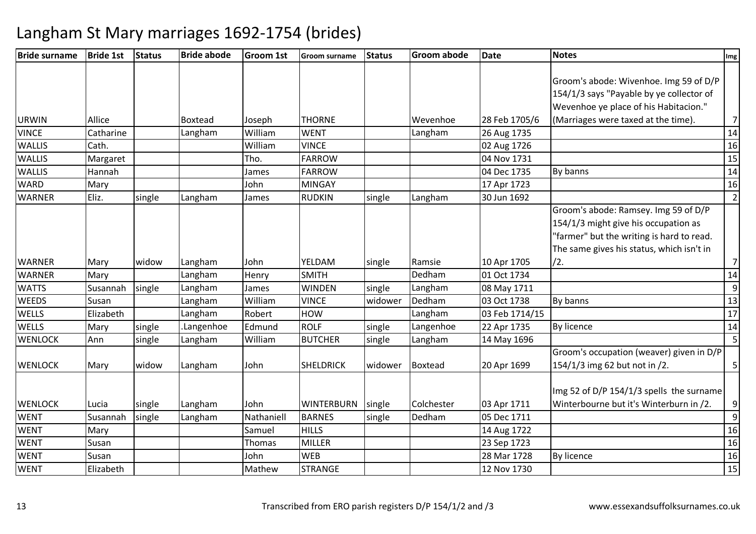| <b>Bride surname</b> | <b>Bride 1st</b> | <b>Status</b> | <b>Bride abode</b> | <b>Groom 1st</b> | <b>Groom surname</b> | Status  | <b>Groom abode</b> | <b>Date</b>    | <b>Notes</b>                              | Img              |
|----------------------|------------------|---------------|--------------------|------------------|----------------------|---------|--------------------|----------------|-------------------------------------------|------------------|
|                      |                  |               |                    |                  |                      |         |                    |                |                                           |                  |
|                      |                  |               |                    |                  |                      |         |                    |                | Groom's abode: Wivenhoe. Img 59 of D/P    |                  |
|                      |                  |               |                    |                  |                      |         |                    |                | 154/1/3 says "Payable by ye collector of  |                  |
|                      |                  |               |                    |                  |                      |         |                    |                | Wevenhoe ye place of his Habitacion."     |                  |
| <b>URWIN</b>         | Allice           |               | <b>Boxtead</b>     | Joseph           | <b>THORNE</b>        |         | Wevenhoe           | 28 Feb 1705/6  | (Marriages were taxed at the time).       | $\overline{7}$   |
| <b>VINCE</b>         | Catharine        |               | Langham            | William          | <b>WENT</b>          |         | Langham            | 26 Aug 1735    |                                           | 14               |
| <b>WALLIS</b>        | Cath.            |               |                    | William          | <b>VINCE</b>         |         |                    | 02 Aug 1726    |                                           | 16               |
| <b>WALLIS</b>        | Margaret         |               |                    | Tho.             | <b>FARROW</b>        |         |                    | 04 Nov 1731    |                                           | $\overline{15}$  |
| <b>WALLIS</b>        | Hannah           |               |                    | James            | <b>FARROW</b>        |         |                    | 04 Dec 1735    | By banns                                  | 14               |
| <b>WARD</b>          | Mary             |               |                    | John             | <b>MINGAY</b>        |         |                    | 17 Apr 1723    |                                           | 16               |
| <b>WARNER</b>        | Eliz.            | single        | Langham            | James            | <b>RUDKIN</b>        | single  | Langham            | 30 Jun 1692    |                                           | $\overline{2}$   |
|                      |                  |               |                    |                  |                      |         |                    |                | Groom's abode: Ramsey. Img 59 of D/P      |                  |
|                      |                  |               |                    |                  |                      |         |                    |                | 154/1/3 might give his occupation as      |                  |
|                      |                  |               |                    |                  |                      |         |                    |                | "farmer" but the writing is hard to read. |                  |
|                      |                  |               |                    |                  |                      |         |                    |                | The same gives his status, which isn't in |                  |
| <b>WARNER</b>        | Mary             | widow         | Langham            | John             | YELDAM               | single  | Ramsie             | 10 Apr 1705    | $/2$ .                                    | 7 <sup>1</sup>   |
| <b>WARNER</b>        | Mary             |               | Langham            | Henry            | <b>SMITH</b>         |         | Dedham             | 01 Oct 1734    |                                           | 14               |
| <b>WATTS</b>         | Susannah         | single        | Langham            | James            | <b>WINDEN</b>        | single  | Langham            | 08 May 1711    |                                           | $\boldsymbol{9}$ |
| <b>WEEDS</b>         | Susan            |               | Langham            | William          | <b>VINCE</b>         | widower | Dedham             | 03 Oct 1738    | By banns                                  | 13               |
| WELLS                | Elizabeth        |               | Langham            | Robert           | <b>HOW</b>           |         | Langham            | 03 Feb 1714/15 |                                           | 17               |
| <b>WELLS</b>         | Mary             | single        | Langenhoe          | Edmund           | <b>ROLF</b>          | single  | Langenhoe          | 22 Apr 1735    | <b>By licence</b>                         | 14               |
| <b>WENLOCK</b>       | Ann              | single        | Langham            | William          | <b>BUTCHER</b>       | single  | Langham            | 14 May 1696    |                                           | 5                |
|                      |                  |               |                    |                  |                      |         |                    |                | Groom's occupation (weaver) given in D/P  |                  |
| <b>WENLOCK</b>       | Mary             | widow         | Langham            | John             | <b>SHELDRICK</b>     | widower | <b>Boxtead</b>     | 20 Apr 1699    | 154/1/3 img 62 but not in /2.             | 5 <sub>l</sub>   |
|                      |                  |               |                    |                  |                      |         |                    |                |                                           |                  |
|                      |                  |               |                    |                  |                      |         |                    |                | Img 52 of D/P 154/1/3 spells the surname  |                  |
| <b>WENLOCK</b>       | Lucia            | single        | Langham            | John             | <b>WINTERBURN</b>    | single  | Colchester         | 03 Apr 1711    | Winterbourne but it's Winterburn in /2.   | 9 <sup>1</sup>   |
| <b>WENT</b>          | Susannah         | single        | Langham            | Nathaniell       | <b>BARNES</b>        | single  | Dedham             | 05 Dec 1711    |                                           | $\overline{9}$   |
| <b>WENT</b>          | Mary             |               |                    | Samuel           | <b>HILLS</b>         |         |                    | 14 Aug 1722    |                                           | 16               |
| <b>WENT</b>          | Susan            |               |                    | Thomas           | <b>MILLER</b>        |         |                    | 23 Sep 1723    |                                           | 16               |
| <b>WENT</b>          | Susan            |               |                    | John             | <b>WEB</b>           |         |                    | 28 Mar 1728    | <b>By licence</b>                         | 16               |
| <b>WENT</b>          | Elizabeth        |               |                    | Mathew           | <b>STRANGE</b>       |         |                    | 12 Nov 1730    |                                           | 15               |